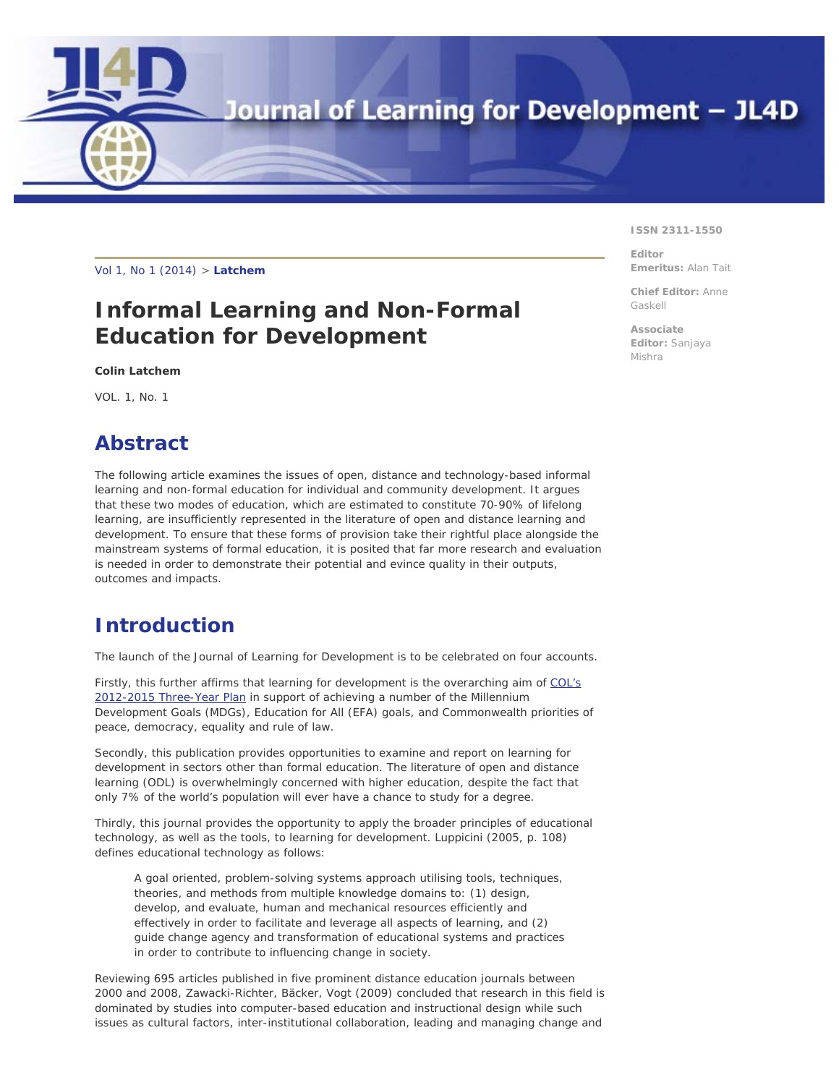Journal of Learning for Development - JL4D

[Vol 1,](http://jl4d.org/index.php/ejl4d/index) N[o 1 \(2014\) >](http://jl4d.org/index.php/ejl4d/issue/view/1) **Latche[m](#page-0-0)**

# **Informal Learning and Non-Formal Education for Development**

*Colin Latchem*

VOL. 1, No. 1

<span id="page-0-0"></span>**DE** 

# **Abstract**

The following article examines the issues of open, distance and technology-based informal learning and non-formal education for individual and community development. It argues that these two modes of education, which are estimated to constitute 70-90% of lifelong learning, are insufficiently represented in the literature of open and distance learning and development. To ensure that these forms of provision take their rightful place alongside the mainstream systems of formal education, it is posited that far more research and evaluation is needed in order to demonstrate their potential and evince quality in their outputs, outcomes and impacts.

## **Introduction**

The launch of the *Journal of Learning for Development* is to be celebrated on four accounts.

Firstly, this further affirms that *learning for development* is the overarching aim of [COL's](http://www.col.org/progServ/3YR/Pages/default.aspx) [2012-2015 Three-Year Plan](http://www.col.org/progServ/3YR/Pages/default.aspx) in support of achieving a number of the Millennium Development Goals (MDGs), Education for All (EFA) goals, and Commonwealth priorities of peace, democracy, equality and rule of law.

Secondly, this publication provides opportunities to examine and report on learning for development in sectors other than formal education. The literature of open and distance learning (ODL) is overwhelmingly concerned with higher education, despite the fact that only 7% of the world's population will ever have a chance to study for a degree.

Thirdly, this journal provides the opportunity to apply the broader principles of educational technology, as well as the tools, to learning for development. Luppicini (2005, p. 108) defines educational technology as follows:

A goal oriented, problem-solving systems approach utilising tools, techniques, theories, and methods from multiple knowledge domains to: (1) design, develop, and evaluate, human and mechanical resources efficiently and effectively in order to facilitate and leverage all aspects of learning, and (2) guide change agency and transformation of educational systems and practices in order to contribute to influencing change in society.

Reviewing 695 articles published in five prominent distance education journals between 2000 and 2008, Zawacki-Richter, Bäcker, Vogt (2009) concluded that research in this field is dominated by studies into computer-based education and instructional design while such issues as cultural factors, inter-institutional collaboration, leading and managing change and

#### **ISSN 2311-1550**

**Editor Emeritus:** Alan Tait

**Chief Editor:** Anne Gaskell

**Associate Editor:** Sanjaya Mishra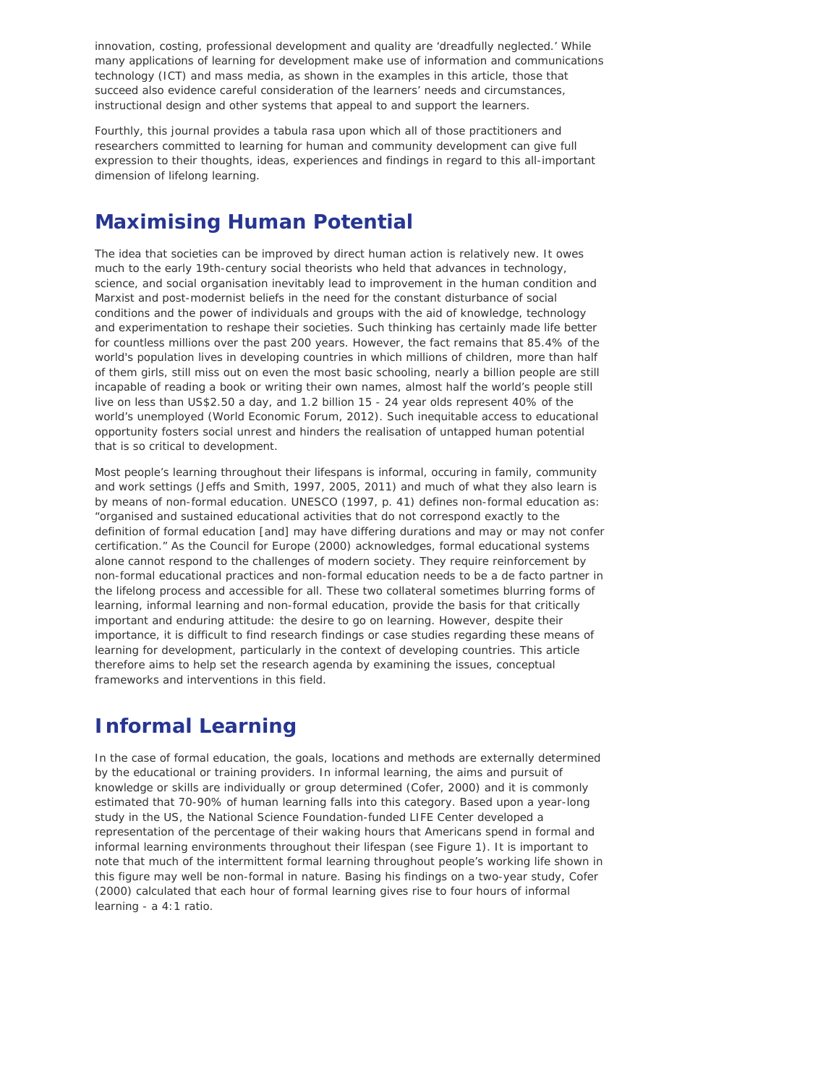innovation, costing, professional development and quality are 'dreadfully neglected.' While many applications of learning for development make use of information and communications technology (ICT) and mass media, as shown in the examples in this article, those that succeed also evidence careful consideration of the learners' needs and circumstances, instructional design and other systems that appeal to and support the learners.

Fourthly, this journal provides a *tabula rasa* upon which all of those practitioners and researchers committed to learning for human and community development can give full expression to their thoughts, ideas, experiences and findings in regard to this all-important dimension of lifelong learning.

### **Maximising Human Potential**

The idea that societies can be improved by direct human action is relatively new. It owes much to the early 19th-century social theorists who held that advances in technology, science, and social organisation inevitably lead to improvement in the human condition and Marxist and post-modernist beliefs in the need for the constant disturbance of social conditions and the power of individuals and groups with the aid of knowledge, technology and experimentation to reshape their societies. Such thinking has certainly made life better for countless millions over the past 200 years. However, the fact remains that 85.4% of the world's population lives in developing countries in which millions of children, more than half of them girls, still miss out on even the most basic schooling, nearly a billion people are still incapable of reading a book or writing their own names, almost half the world's people still live on less than US\$2.50 a day, and 1.2 billion 15 - 24 year olds represent 40% of the world's unemployed (World Economic Forum, 2012). Such inequitable access to educational opportunity fosters social unrest and hinders the realisation of untapped human potential that is so critical to development.

Most people's learning throughout their lifespans is informal, occuring in family, community and work settings (Jeffs and Smith, 1997, 2005, 2011) and much of what they also learn is by means of non-formal education. UNESCO (1997, p. 41) defines non-formal education as: "organised and sustained educational activities that do not correspond exactly to the definition of formal education [and] may have differing durations and may or may not confer certification." As the Council for Europe (2000) acknowledges, formal educational systems alone cannot respond to the challenges of modern society. They require reinforcement by non-formal educational practices and non-formal education needs to be a de facto partner in the lifelong process and accessible for all. These two collateral sometimes blurring forms of learning, informal learning and non-formal education, provide the basis for that critically important and enduring attitude: the desire to go on learning. However, despite their importance, it is difficult to find research findings or case studies regarding these means of learning for development, particularly in the context of developing countries*.* This article therefore aims to help set the research agenda by examining the issues, conceptual frameworks and interventions in this field.

## **Informal Learning**

In the case of formal education, the goals, locations and methods are externally determined by the educational or training providers. In informal learning, the aims and pursuit of knowledge or skills are individually or group determined (Cofer, 2000) and it is commonly estimated that 70-90% of human learning falls into this category. Based upon a year-long study in the US, the National Science Foundation-funded LIFE Center developed a representation of the percentage of their waking hours that Americans spend in formal and informal learning environments throughout their lifespan (see Figure 1). It is important to note that much of the intermittent formal learning throughout people's working life shown in this figure may well be non-formal in nature. Basing his findings on a two-year study, Cofer (*2000*) calculated that each hour of formal learning gives rise to four hours of informal learning - a 4:1 ratio.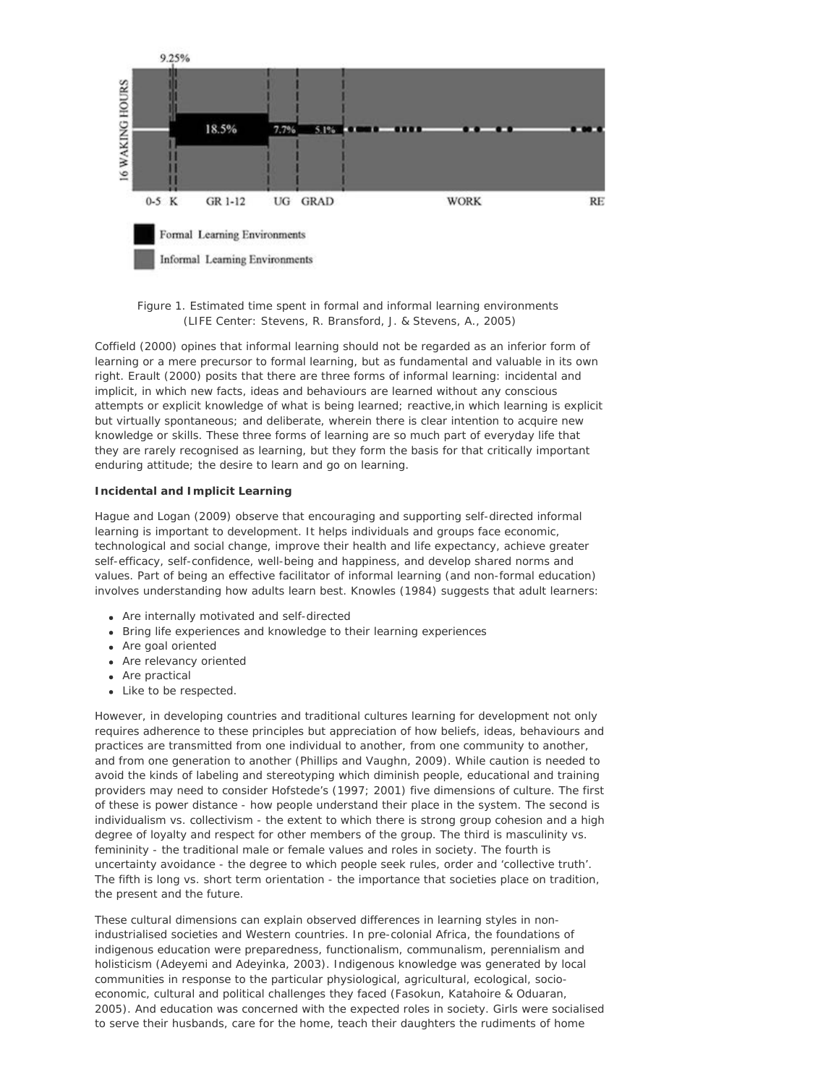

#### *Figure 1. Estimated time spent in formal and informal learning environments (LIFE Center: Stevens, R. Bransford, J. & Stevens, A., 2005)*

Coffield (2000) opines that informal learning should not be regarded as an inferior form of learning or a mere precursor to formal learning, but as fundamental and valuable in its own right. Erault (2000) posits that there are three forms of informal learning: *incidental and implicit*, in which new facts, ideas and behaviours are learned without any conscious attempts or explicit knowledge of what is being learned; *reactive*,in which learning is explicit but virtually spontaneous; and *deliberate*, wherein there is clear intention to acquire new knowledge or skills. These three forms of learning are so much part of everyday life that they are rarely recognised as learning, but they form the basis for that critically important enduring attitude; the desire to learn and go on learning.

### **Incidental and Implicit Learning**

Hague and Logan (2009) observe that encouraging and supporting self-directed informal learning is important to development. It helps individuals and groups face economic, technological and social change, improve their health and life expectancy, achieve greater self-efficacy, self-confidence, well-being and happiness, and develop shared norms and values. Part of being an effective facilitator of informal learning (and non-formal education) involves understanding how adults learn best. Knowles (1984) suggests that adult learners:

- Are internally motivated and self-directed
- Bring life experiences and knowledge to their learning experiences
- Are goal oriented
- Are relevancy oriented
- Are practical
- Like to be respected.

However, in developing countries and traditional cultures learning for development not only requires adherence to these principles but appreciation of how beliefs, ideas, behaviours and practices are transmitted from one individual to another, from one community to another, and from one generation to another (Phillips and Vaughn, 2009). While caution is needed to avoid the kinds of labeling and stereotyping which diminish people, educational and training providers may need to consider Hofstede's (1997; 2001) five dimensions of culture. The first of these is *power distance* - how people understand their place in the system. The second is *individualism vs. collectivism* - the extent to which there is strong group cohesion and a high degree of loyalty and respect for other members of the group. The third is *masculinity vs. femininity* - the traditional male or female values and roles in society. The fourth is *uncertainty avoidance* - the degree to which people seek rules, order and 'collective truth'. The fifth is *long vs. short term orientation* - the importance that societies place on tradition, the present and the future.

These cultural dimensions can explain observed differences in learning styles in nonindustrialised societies and Western countries. In pre-colonial Africa, the foundations of indigenous education were preparedness, functionalism, communalism, perennialism and holisticism (Adeyemi and Adeyinka, 2003). Indigenous knowledge was generated by local communities in response to the particular physiological, agricultural, ecological, socioeconomic, cultural and political challenges they faced (Fasokun, Katahoire & Oduaran, 2005). And education was concerned with the expected roles in society. Girls were socialised to serve their husbands, care for the home, teach their daughters the rudiments of home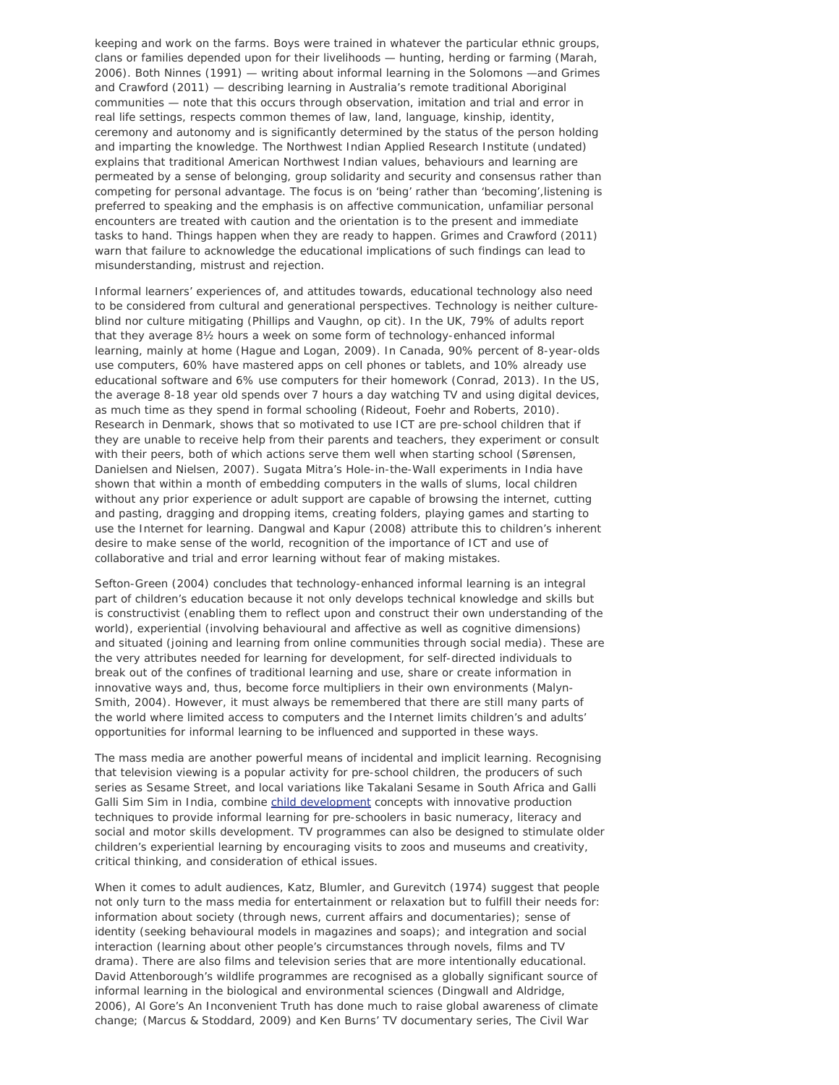keeping and work on the farms. Boys were trained in whatever the particular ethnic groups, clans or families depended upon for their livelihoods — hunting, herding or farming (Marah, 2006). Both Ninnes (1991) — writing about informal learning in the Solomons —and Grimes and Crawford (2011) — describing learning in Australia's remote traditional Aboriginal communities — note that this occurs through observation, imitation and trial and error in real life settings, respects common themes of law, land, language, kinship, identity, ceremony and autonomy and is significantly determined by the status of the person holding and imparting the knowledge. The Northwest Indian Applied Research Institute (undated) explains that traditional American Northwest Indian values, behaviours and learning are permeated by a sense of belonging, group solidarity and security and consensus rather than competing for personal advantage. The focus is on 'being' rather than 'becoming',listening is preferred to speaking and the emphasis is on affective communication, unfamiliar personal encounters are treated with caution and the orientation is to the present and immediate tasks to hand. Things happen when they are ready to happen. Grimes and Crawford (*2011*) warn that failure to acknowledge the educational implications of such findings can lead to misunderstanding, mistrust and rejection.

Informal learners' experiences of, and attitudes towards, educational technology also need to be considered from cultural and generational perspectives. Technology is neither cultureblind nor culture mitigating (Phillips and Vaughn, op cit). In the UK, 79% of adults report that they average 8½ hours a week on some form of technology-enhanced informal learning, mainly at home (Hague and Logan, *2009*). In Canada, 90% percent of 8-year-olds use computers, 60% have mastered apps on cell phones or tablets, and 10% already use educational software and 6% use computers for their homework (Conrad, 2013). In the US, the average 8-18 year old spends over 7 hours a day watching TV and using digital devices, as much time as they spend in formal schooling (Rideout, Foehr and Roberts, 2010). Research in Denmark, shows that so motivated to use ICT are pre-school children that if they are unable to receive help from their parents and teachers, they experiment or consult with their peers, both of which actions serve them well when starting school (Sørensen, Danielsen and Nielsen, 2007). Sugata Mitra's Hole-in-the-Wall experiments in India have shown that within a month of embedding computers in the walls of slums, local children without any prior experience or adult support are capable of browsing the internet, cutting and pasting, dragging and dropping items, creating folders, playing games and starting to use the Internet for learning. Dangwal and Kapur (2008) attribute this to children's inherent desire to make sense of the world, recognition of the importance of ICT and use of collaborative and trial and error learning without fear of making mistakes.

Sefton-Green (2004) concludes that technology-enhanced informal learning is an integral part of children's education because it not only develops technical knowledge and skills but is *constructivist* (enabling them to reflect upon and construct their own understanding of the world), *experiential* (involving behavioural and affective as well as cognitive dimensions) and *situated* (joining and learning from online communities through social media). These are the very attributes needed for learning for development, for self-directed individuals to break out of the confines of traditional learning and use, share or create information in innovative ways and, thus, become force multipliers in their own environments (Malyn-Smith, 2004). However, it must always be remembered that there are still many parts of the world where limited access to computers and the Internet limits children's and adults' opportunities for informal learning to be influenced and supported in these ways.

The mass media are another powerful means of incidental and implicit learning. Recognising that television viewing is a popular activity for pre-school children, the producers of such series as *Sesame Street,* and local variations like *Takalani Sesame* in South Africa and *Galli* Galli Sim Sim in India, combine [child development](http://en.wikipedia.org/wiki/Child_development) concepts with innovative production techniques to provide informal learning for pre-schoolers in basic numeracy, literacy and social and motor skills development. TV programmes can also be designed to stimulate older children's experiential learning by encouraging visits to zoos and museums and creativity, critical thinking, and consideration of ethical issues.

When it comes to adult audiences, Katz, Blumler, and Gurevitch (1974) suggest that people not only turn to the mass media for entertainment or relaxation but to fulfill their needs for: *information about society* (through news, current affairs and documentaries); *sense of identity* (seeking behavioural models in magazines and soaps); *and integration and social interaction* (learning about other people's circumstances through novels, films and TV drama). There are also films and television series that are more intentionally educational. David Attenborough's wildlife programmes are recognised as a globally significant source of informal learning in the biological and environmental sciences (Dingwall and Aldridge, 2006), Al Gore's *An Inconvenient Truth* has done much to raise global awareness of climate change; (Marcus & Stoddard, 2009) and Ken Burns' TV documentary series, *The Civil War*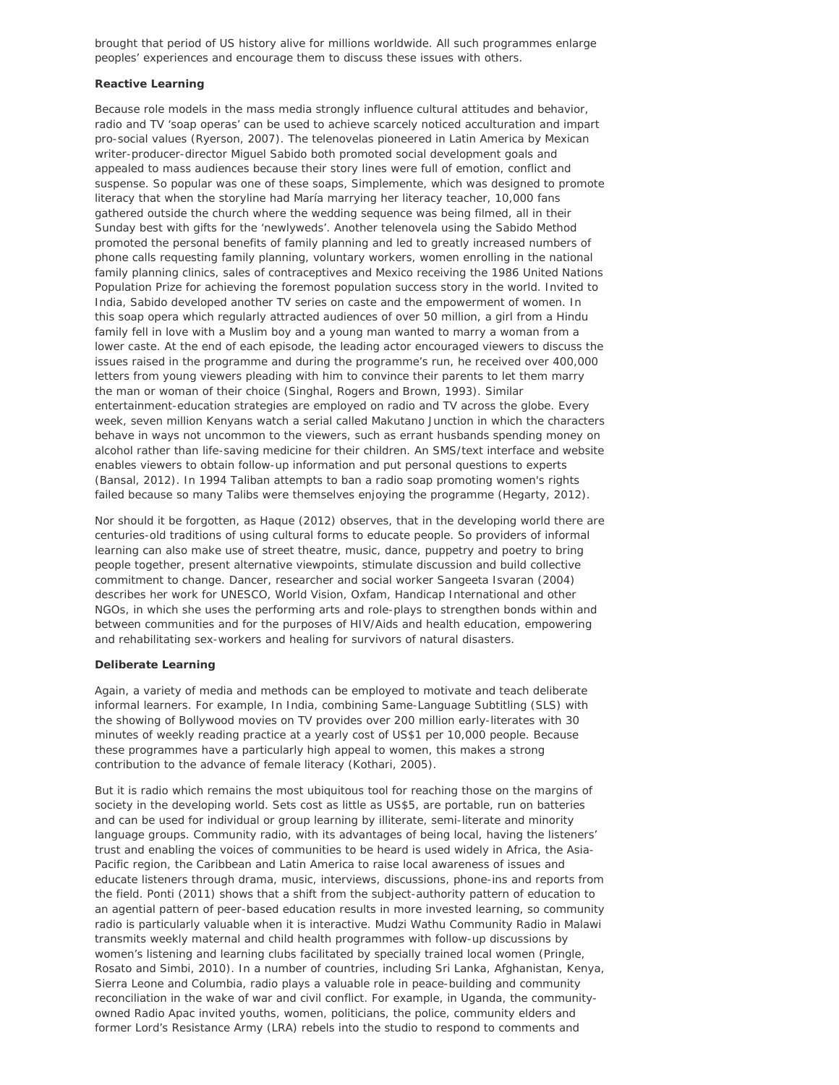brought that period of US history alive for millions worldwide. All such programmes enlarge peoples' experiences and encourage them to discuss these issues with others.

#### **Reactive Learning**

Because role models in the mass media strongly influence cultural attitudes and behavior, radio and TV 'soap operas' can be used to achieve scarcely noticed acculturation and impart pro-social values (Ryerson, 2007). The *telenovelas* pioneered in Latin America by Mexican writer-producer-director Miguel Sabido both promoted social development goals and appealed to mass audiences because their story lines were full of emotion, conflict and suspense. So popular was one of these soaps, *Simplemente*, which was designed to promote literacy that when the storyline had María marrying her literacy teacher, 10,000 fans gathered outside the church where the wedding sequence was being filmed, all in their Sunday best with gifts for the 'newlyweds'. Another *telenovela* using the Sabido Method promoted the personal benefits of family planning and led to greatly increased numbers of phone calls requesting family planning, voluntary workers, women enrolling in the national family planning clinics, sales of contraceptives and Mexico receiving the 1986 United Nations Population Prize for achieving the foremost population success story in the world. Invited to India, Sabido developed another TV series on caste and the empowerment of women. In this soap opera which regularly attracted audiences of over 50 million, a girl from a Hindu family fell in love with a Muslim boy and a young man wanted to marry a woman from a lower caste. At the end of each episode, the leading actor encouraged viewers to discuss the issues raised in the programme and during the programme's run, he received over 400,000 letters from young viewers pleading with him to convince their parents to let them marry the man or woman of their choice (Singhal, Rogers and Brown, 1993). Similar entertainment-education strategies are employed on radio and TV across the globe. Every week, seven million Kenyans watch a serial called *Makutano Junction* in which the characters behave in ways not uncommon to the viewers, such as errant husbands spending money on alcohol rather than life-saving medicine for their children. An SMS/text interface and website enables viewers to obtain follow-up information and put personal questions to experts (Bansal, 2012). In 1994 Taliban attempts to ban a radio soap promoting women's rights failed because so many Talibs were themselves enjoying the programme (Hegarty, 2012).

Nor should it be forgotten, as Haque (2012) observes, that in the developing world there are centuries-old traditions of using cultural forms to educate people. So providers of informal learning can also make use of street theatre, music, dance, puppetry and poetry to bring people together, present alternative viewpoints, stimulate discussion and build collective commitment to change. Dancer, researcher and social worker Sangeeta Isvaran (2004) describes her work for UNESCO, World Vision, Oxfam, Handicap International and other NGOs, in which she uses the performing arts and role-plays to strengthen bonds within and between communities and for the purposes of HIV/Aids and health education, empowering and rehabilitating sex-workers and healing for survivors of natural disasters.

#### **Deliberate Learning**

Again, a variety of media and methods can be employed to motivate and teach deliberate informal learners. For example, In India, combining Same-Language Subtitling (SLS) with the showing of Bollywood movies on TV provides over 200 million early-literates with 30 minutes of weekly reading practice at a yearly cost of US\$1 per 10,000 people. Because these programmes have a particularly high appeal to women, this makes a strong contribution to the advance of female literacy (Kothari, 2005).

But it is radio which remains the most ubiquitous tool for reaching those on the margins of society in the developing world. Sets cost as little as US\$5, are portable, run on batteries and can be used for individual or group learning by illiterate, semi-literate and minority language groups. Community radio, with its advantages of being local, having the listeners' trust and enabling the voices of communities to be heard is used widely in Africa, the Asia-Pacific region, the Caribbean and Latin America to raise local awareness of issues and educate listeners through drama, music, interviews, discussions, phone-ins and reports from the field. Ponti (2011) shows that a shift from the subject-authority pattern of education to an agential pattern of peer-based education results in more invested learning, so community radio is particularly valuable when it is interactive. Mudzi Wathu Community Radio in Malawi transmits weekly maternal and child health programmes with follow-up discussions by women's listening and learning clubs facilitated by specially trained local women (Pringle, Rosato and Simbi, 2010). In a number of countries, including Sri Lanka, Afghanistan, Kenya, Sierra Leone and Columbia, radio plays a valuable role in peace-building and community reconciliation in the wake of war and civil conflict. For example, in Uganda, the communityowned Radio Apac invited youths, women, politicians, the police, community elders and former Lord's Resistance Army (LRA) rebels into the studio to respond to comments and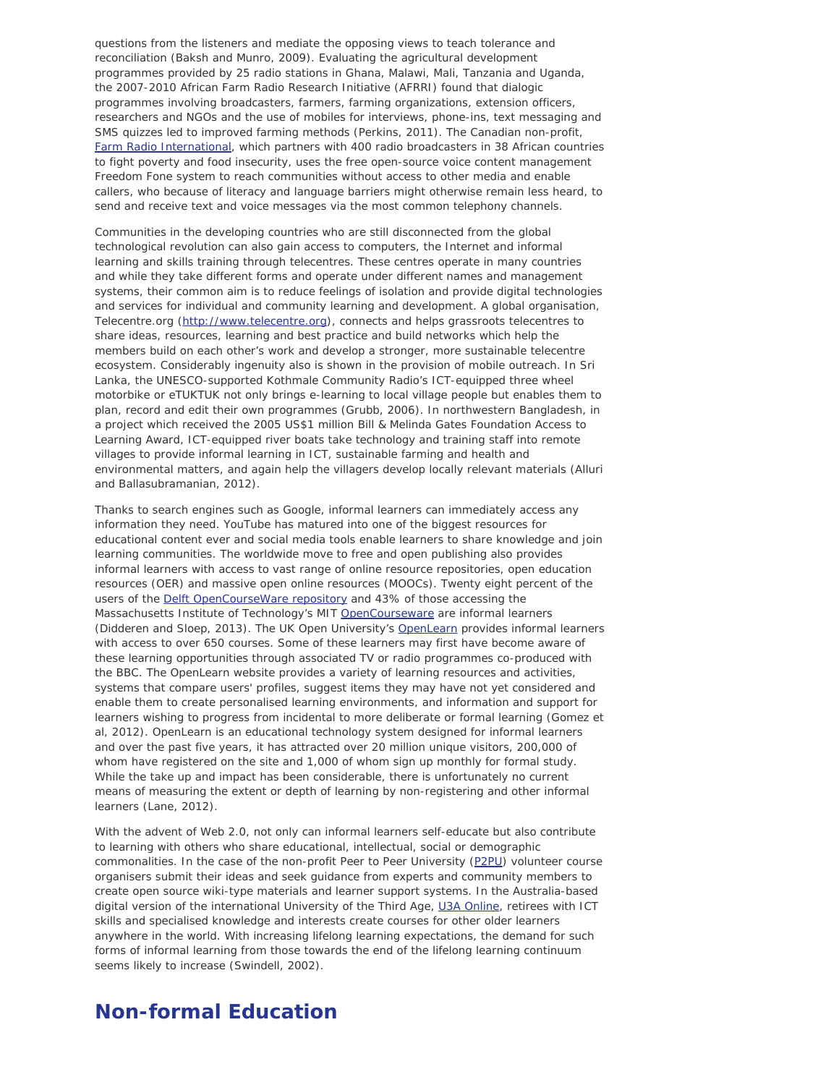questions from the listeners and mediate the opposing views to teach tolerance and reconciliation (Baksh and Munro, 2009). Evaluating the agricultural development programmes provided by 25 radio stations in Ghana, Malawi, Mali, Tanzania and Uganda, the 2007-2010 African Farm Radio Research Initiative (AFRRI) found that dialogic programmes involving broadcasters, farmers, farming organizations, extension officers, researchers and NGOs and the use of mobiles for interviews, phone-ins, text messaging and SMS quizzes led to improved farming methods (Perkins, 2011). The Canadian non-profit, [Farm Radio International,](http://www.farmradio.org/) which partners with 400 radio broadcasters in 38 African countries to fight poverty and food insecurity, uses the free open-source voice content management Freedom Fone system to reach communities without access to other media and enable callers, who because of literacy and language barriers might otherwise remain less heard, to send and receive text and voice messages via the most common telephony channels.

Communities in the developing countries who are still disconnected from the global technological revolution can also gain access to computers, the Internet and informal learning and skills training through telecentres. These centres operate in many countries and while they take different forms and operate under different names and management systems, their common aim is to reduce feelings of isolation and provide digital technologies and services for individual and community learning and development. A global organisation, Telecentre.org [\(http://www.telecentre.org](http://www.telecentre.org/)), connects and helps grassroots telecentres to share ideas, resources, learning and best practice and build networks which help the members build on each other's work and develop a stronger, more sustainable telecentre ecosystem. Considerably ingenuity also is shown in the provision of mobile outreach. In Sri Lanka, the UNESCO-supported Kothmale Community Radio's ICT-equipped three wheel motorbike or eTUKTUK not only brings e-learning to local village people but enables them to plan, record and edit their own programmes (Grubb, 2006). In northwestern Bangladesh, in a project which received the 2005 US\$1 million Bill & Melinda Gates Foundation Access to Learning Award, ICT-equipped river boats take technology and training staff into remote villages to provide informal learning in ICT, sustainable farming and health and environmental matters, and again help the villagers develop locally relevant materials (Alluri and Ballasubramanian, 2012).

Thanks to search engines such as Google, informal learners can immediately access any information they need. YouTube has matured into one of the biggest resources for educational content ever and social media tools enable learners to share knowledge and join learning communities. The worldwide move to free and open publishing also provides informal learners with access to vast range of online resource repositories, open education resources (OER) and massive open online resources (MOOCs). Twenty eight percent of the users of the [Delft OpenCourseWare repository](http://ocw.tudelft.nl/) and 43% of those accessing the Massachusetts Institute of Technology's MIT [OpenCourseware](http://ocw.mit.edu/index.htm) are informal learners (Didderen and Sloep, 2013). The UK Open University's [OpenLearn](http://www.open.edu/openlearn) provides informal learners with access to over 650 courses. Some of these learners may first have become aware of these learning opportunities through associated TV or radio programmes co-produced with the BBC. The OpenLearn website provides a variety of learning resources and activities, systems that compare users' profiles, suggest items they may have not yet considered and enable them to create personalised learning environments, and information and support for learners wishing to progress from incidental to more deliberate or formal learning (Gomez et al, 2012). OpenLearn is an educational technology *system* designed for informal learners and over the past five years, it has attracted over 20 million unique visitors, 200,000 of whom have registered on the site and 1,000 of whom sign up monthly for formal study. While the take up and impact has been considerable, there is unfortunately no current means of measuring the extent or depth of learning by non-registering and other informal learners (Lane, 2012).

With the advent of Web 2.0, not only can informal learners self-educate but also contribute to learning with others who share educational, intellectual, social or demographic commonalities. In the case of the non-profit Peer to Peer University [\(P2PU](https://p2pu.org/en)) volunteer course organisers submit their ideas and seek guidance from experts and community members to create open source wiki-type materials and learner support systems. In the Australia-based digital version of the international University of the Third Age, [U3A Online](http://www.u3aonline.org.au/), retirees with ICT skills and specialised knowledge and interests create courses for other older learners anywhere in the world. With increasing lifelong learning expectations, the demand for such forms of informal learning from those towards the end of the lifelong learning continuum seems likely to increase (Swindell, 2002).

## **Non-formal Education**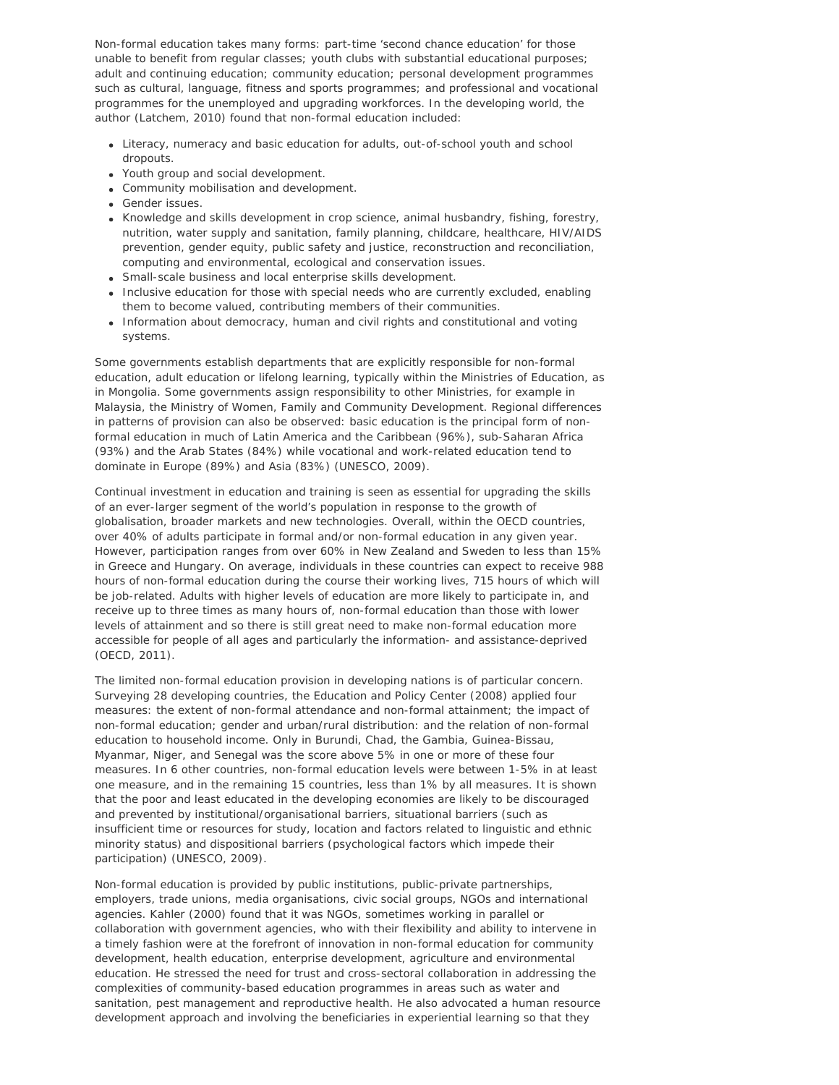Non-formal education takes many forms: part-time 'second chance education' for those unable to benefit from regular classes; youth clubs with substantial educational purposes; adult and continuing education; community education; personal development programmes such as cultural, language, fitness and sports programmes; and professional and vocational programmes for the unemployed and upgrading workforces. In the developing world, the author (Latchem, 2010) found that non-formal education included:

- Literacy, numeracy and basic education for adults, out-of-school youth and school dropouts.
- Youth group and social development.
- Community mobilisation and development.
- Gender issues.
- Knowledge and skills development in crop science, animal husbandry, fishing, forestry, nutrition, water supply and sanitation, family planning, childcare, healthcare, HIV/AIDS prevention, gender equity, public safety and justice, reconstruction and reconciliation, computing and environmental, ecological and conservation issues.
- Small-scale business and local enterprise skills development.
- Inclusive education for those with special needs who are currently excluded, enabling them to become valued, contributing members of their communities.
- Information about democracy, human and civil rights and constitutional and voting systems.

Some governments establish departments that are explicitly responsible for non-formal education, adult education or lifelong learning, typically within the Ministries of Education, as in Mongolia. Some governments assign responsibility to other Ministries, for example in Malaysia, the Ministry of Women, Family and Community Development. Regional differences in patterns of provision can also be observed: basic education is the principal form of nonformal education in much of Latin America and the Caribbean (96%), sub-Saharan Africa (93%) and the Arab States (84%) while vocational and work-related education tend to dominate in Europe (89%) and Asia (83%) (UNESCO, 2009).

Continual investment in education and training is seen as essential for upgrading the skills of an ever-larger segment of the world's population in response to the growth of globalisation, broader markets and new technologies. Overall, within the OECD countries, over 40% of adults participate in formal and/or non-formal education in any given year. However, participation ranges from over 60% in New Zealand and Sweden to less than 15% in Greece and Hungary. On average, individuals in these countries can expect to receive 988 hours of non-formal education during the course their working lives, 715 hours of which will be job-related. Adults with higher levels of education are more likely to participate in, and receive up to three times as many hours of, non-formal education than those with lower levels of attainment and so there is still great need to make non-formal education more accessible for people of all ages and particularly the information- and assistance-deprived (OECD, 2011).

The limited non-formal education provision in developing nations is of particular concern. Surveying 28 developing countries, the Education and Policy Center (2008) applied four measures: the extent of non-formal attendance and non-formal attainment; the impact of non-formal education; gender and urban/rural distribution: and the relation of non-formal education to household income. Only in Burundi, Chad, the Gambia, Guinea-Bissau, Myanmar, Niger, and Senegal was the score above 5% in one or more of these four measures. In 6 other countries, non-formal education levels were between 1-5% in at least one measure, and in the remaining 15 countries, less than 1% by all measures. It is shown that the poor and least educated in the developing economies are likely to be discouraged and prevented by institutional/organisational barriers, situational barriers (such as insufficient time or resources for study, location and factors related to linguistic and ethnic minority status) and dispositional barriers (psychological factors which impede their participation) (UNESCO, 2009).

Non-formal education is provided by public institutions, public-private partnerships, employers, trade unions, media organisations, civic social groups, NGOs and international agencies. Kahler (2000) found that it was NGOs, sometimes working in parallel or collaboration with government agencies, who with their flexibility and ability to intervene in a timely fashion were at the forefront of innovation in non-formal education for community development, health education, enterprise development, agriculture and environmental education. He stressed the need for trust and cross-sectoral collaboration in addressing the complexities of community-based education programmes in areas such as water and sanitation, pest management and reproductive health. He also advocated a human resource development approach and involving the beneficiaries in experiential learning so that they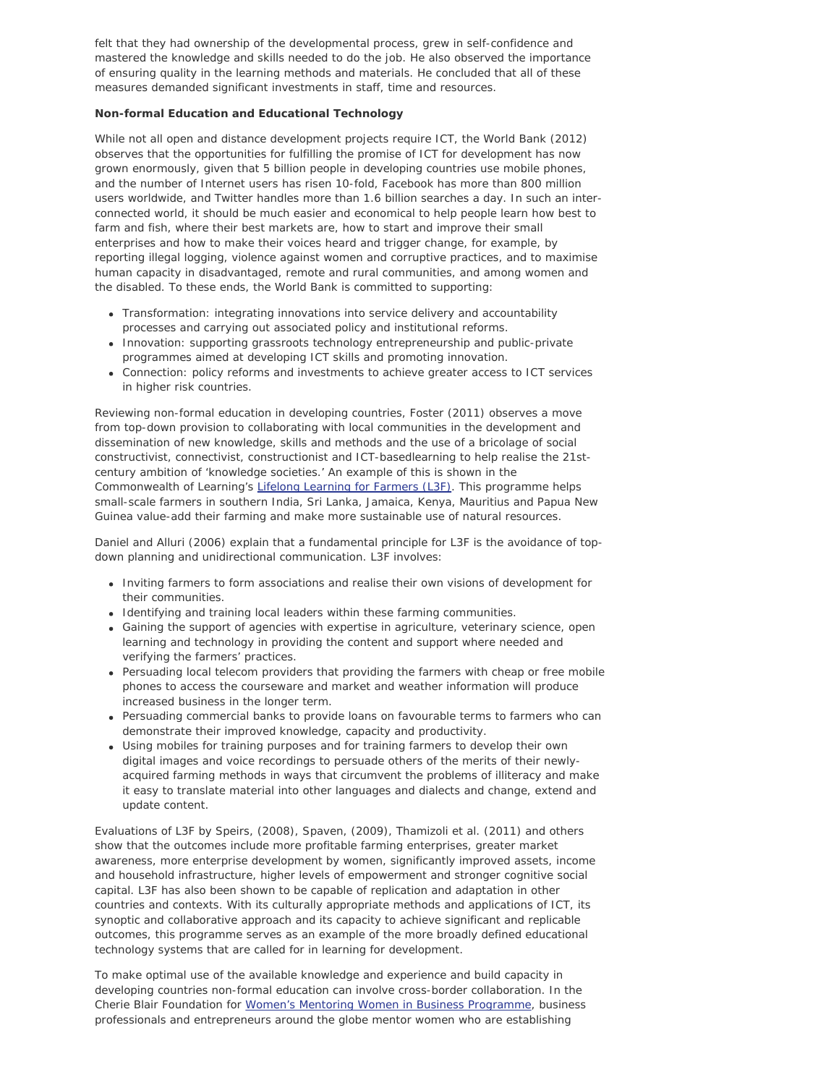felt that they had ownership of the developmental process, grew in self-confidence and mastered the knowledge and skills needed to do the job. He also observed the importance of ensuring quality in the learning methods and materials. He concluded that all of these measures demanded significant investments in staff, time and resources.

### **Non-formal Education and Educational Technology**

While not all open and distance development projects require ICT, the World Bank (2012) observes that the opportunities for fulfilling the promise of ICT for development has now grown enormously, given that 5 billion people in developing countries use mobile phones, and the number of Internet users has risen 10-fold, Facebook has more than 800 million users worldwide, and Twitter handles more than 1.6 billion searches a day. In such an interconnected world, it should be much easier and economical to help people learn how best to farm and fish, where their best markets are, how to start and improve their small enterprises and how to make their voices heard and trigger change, for example, by reporting illegal logging, violence against women and corruptive practices, and to maximise human capacity in disadvantaged, remote and rural communities, and among women and the disabled. To these ends, the World Bank is committed to supporting:

- *Transformation:* integrating innovations into service delivery and accountability processes and carrying out associated policy and institutional reforms.
- *Innovation:* supporting grassroots technology entrepreneurship and public-private programmes aimed at developing ICT skills and promoting innovation.
- *Connection:* policy reforms and investments to achieve greater access to ICT services in higher risk countries.

Reviewing non-formal education in developing countries, Foster (2011) observes a move from top-down provision to collaborating with local communities in the development and dissemination of new knowledge, skills and methods and the use of a bricolage of social constructivist, connectivist, constructionist and ICT-basedlearning to help realise the 21stcentury ambition of 'knowledge societies.' An example of this is shown in the Commonwealth of Learning's [Lifelong Learning for Farmers \(L3F\)](http://www.col.org/progServ/programmes/livelihoods/L3farmers/Pages/default.aspx). This programme helps small-scale farmers in southern India, Sri Lanka, Jamaica, Kenya, Mauritius and Papua New Guinea value-add their farming and make more sustainable use of natural resources.

Daniel and Alluri (2006) explain that a fundamental principle for L3F is the avoidance of topdown planning and unidirectional communication. L3F involves:

- Inviting farmers to form associations and realise their own visions of development for their communities.
- Identifying and training local leaders within these farming communities.
- Gaining the support of agencies with expertise in agriculture, veterinary science, open learning and technology in providing the content and support where needed and verifying the farmers' practices.
- Persuading local telecom providers that providing the farmers with cheap or free mobile phones to access the courseware and market and weather information will produce increased business in the longer term.
- Persuading commercial banks to provide loans on favourable terms to farmers who can demonstrate their improved knowledge, capacity and productivity.
- Using mobiles for training purposes and for training farmers to develop their own digital images and voice recordings to persuade others of the merits of their newlyacquired farming methods in ways that circumvent the problems of illiteracy and make it easy to translate material into other languages and dialects and change, extend and update content.

Evaluations of L3F by Speirs, (2008), Spaven, (2009), Thamizoli et al. (2011) and others show that the outcomes include more profitable farming enterprises, greater market awareness, more enterprise development by women, significantly improved assets, income and household infrastructure, higher levels of empowerment and stronger cognitive social capital. L3F has also been shown to be capable of replication and adaptation in other countries and contexts. With its culturally appropriate methods and applications of ICT, its synoptic and collaborative approach and its capacity to achieve significant and replicable outcomes, this programme serves as an example of the more broadly defined educational technology systems that are called for in learning for development.

To make optimal use of the available knowledge and experience and build capacity in developing countries non-formal education can involve cross-border collaboration. In the Cherie Blair Foundation for [Women's Mentoring Women in Business Programme,](http://www.cherieblairfoundation.org/mentoring) business professionals and entrepreneurs around the globe mentor women who are establishing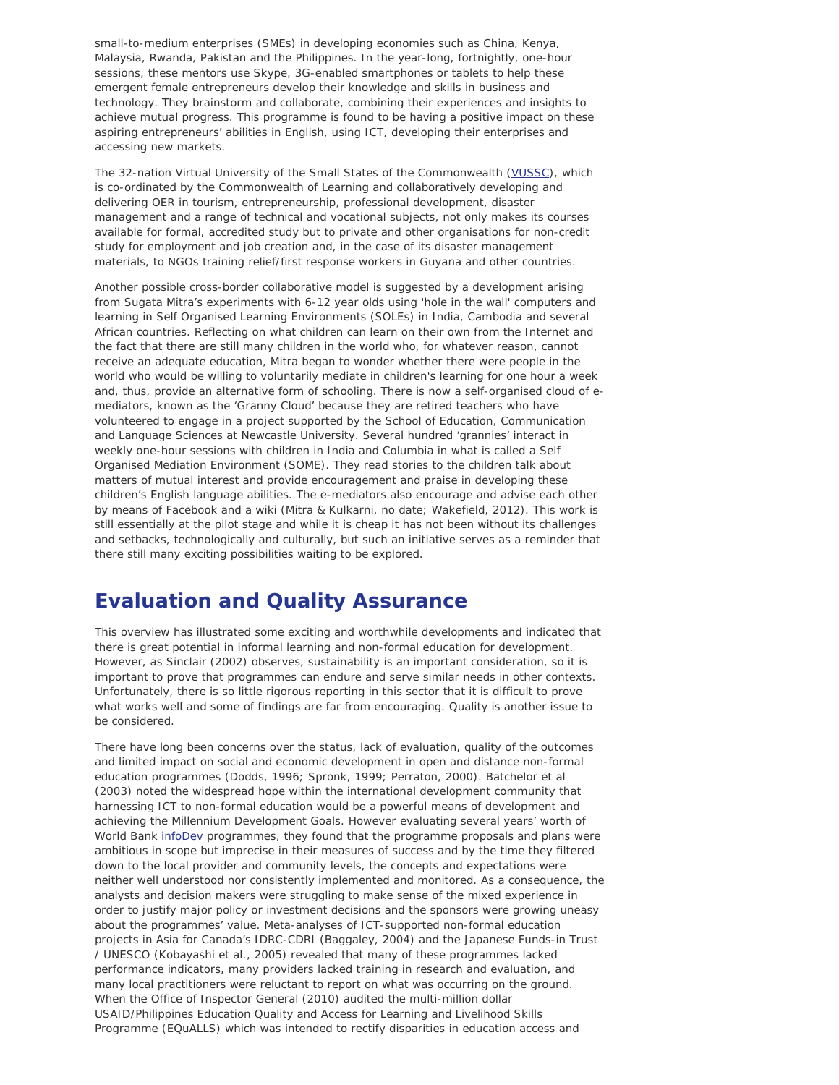small-to-medium enterprises (SMEs) in developing economies such as China, Kenya, Malaysia, Rwanda, Pakistan and the Philippines. In the year-long, fortnightly, one-hour sessions, these mentors use Skype, 3G-enabled smartphones or tablets to help these emergent female entrepreneurs develop their knowledge and skills in business and technology. They brainstorm and collaborate, combining their experiences and insights to achieve mutual progress. This programme is found to be having a positive impact on these aspiring entrepreneurs' abilities in English, using ICT, developing their enterprises and accessing new markets.

The 32-nation Virtual University of the Small States of the Commonwealth [\(VUSSC](http://www.vussc.info/)), which is co-ordinated by the Commonwealth of Learning and collaboratively developing and delivering OER in tourism, entrepreneurship, professional development, disaster management and a range of technical and vocational subjects, not only makes its courses available for formal, accredited study but to private and other organisations for non-credit study for employment and job creation and, in the case of its disaster management materials, to NGOs training relief/first response workers in Guyana and other countries.

Another possible cross-border collaborative model is suggested by a development arising from Sugata Mitra's experiments with 6-12 year olds using 'hole in the wall' computers and learning in Self Organised Learning Environments (SOLEs) in India, Cambodia and several African countries. Reflecting on what children can learn on their own from the Internet and the fact that there are still many children in the world who, for whatever reason, cannot receive an adequate education, Mitra began to wonder whether there were people in the world who would be willing to voluntarily mediate in children's learning for one hour a week and, thus, provide an alternative form of schooling. There is now a self-organised cloud of emediators, known as the 'Granny Cloud' because they are retired teachers who have volunteered to engage in a project supported by the School of Education, Communication and Language Sciences at Newcastle University. Several hundred 'grannies' interact in weekly one-hour sessions with children in India and Columbia in what is called a Self Organised Mediation Environment (SOME). They read stories to the children talk about matters of mutual interest and provide encouragement and praise in developing these children's English language abilities. The e-mediators also encourage and advise each other by means of Facebook and a wiki (Mitra & Kulkarni, no date; Wakefield, 2012). This work is still essentially at the pilot stage and while it is cheap it has not been without its challenges and setbacks, technologically and culturally, but such an initiative serves as a reminder that there still many exciting possibilities waiting to be explored.

## **Evaluation and Quality Assurance**

This overview has illustrated some exciting and worthwhile developments and indicated that there is great potential in informal learning and non-formal education for development. However, as Sinclair (2002) observes, sustainability is an important consideration, so it is important to prove that programmes can endure and serve similar needs in other contexts. Unfortunately, there is so little rigorous reporting in this sector that it is difficult to prove what works well and some of findings are far from encouraging. Quality is another issue to be considered.

There have long been concerns over the status, lack of evaluation, quality of the outcomes and limited impact on social and economic development in open and distance non-formal education programmes (Dodds, 1996; Spronk, 1999; Perraton, 2000). Batchelor et al (2003) noted the widespread hope within the international development community that harnessing ICT to non-formal education would be a powerful means of development and achieving the Millennium Development Goals. However evaluating several years' worth of World Ban[k infoDev](http://infodev.org/) programmes, they found that the programme proposals and plans were ambitious in scope but imprecise in their measures of success and by the time they filtered down to the local provider and community levels, the concepts and expectations were neither well understood nor consistently implemented and monitored. As a consequence, the analysts and decision makers were struggling to make sense of the mixed experience in order to justify major policy or investment decisions and the sponsors were growing uneasy about the programmes' value. Meta-analyses of ICT-supported non-formal education projects in Asia for Canada's IDRC-CDRI (Baggaley, 2004) and the Japanese Funds-in Trust / UNESCO (Kobayashi et al., 2005) revealed that many of these programmes lacked performance indicators, many providers lacked training in research and evaluation, and many local practitioners were reluctant to report on what was occurring on the ground. When the Office of Inspector General (2010) audited the multi-million dollar USAID/Philippines Education Quality and Access for Learning and Livelihood Skills Programme (EQuALLS) which was intended to rectify disparities in education access and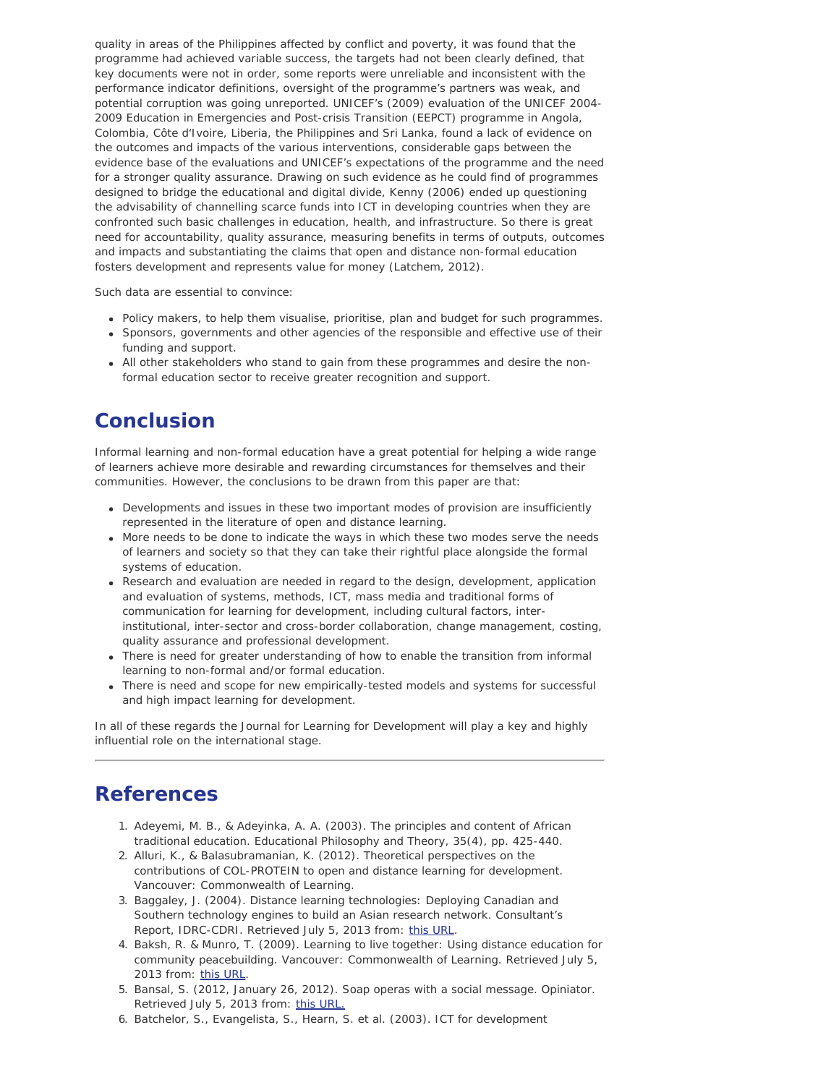quality in areas of the Philippines affected by conflict and poverty, it was found that the programme had achieved variable success, the targets had not been clearly defined, that key documents were not in order, some reports were unreliable and inconsistent with the performance indicator definitions, oversight of the programme's partners was weak, and potential corruption was going unreported. UNICEF's (2009) evaluation of the UNICEF 2004- 2009 Education in Emergencies and Post-crisis Transition (EEPCT) programme in Angola, Colombia, Côte d'Ivoire, Liberia, the Philippines and Sri Lanka, found a lack of evidence on the outcomes and impacts of the various interventions, considerable gaps between the evidence base of the evaluations and UNICEF's expectations of the programme and the need for a stronger quality assurance. Drawing on such evidence as he could find of programmes designed to bridge the educational and digital divide, Kenny (2006) ended up questioning the advisability of channelling scarce funds into ICT in developing countries when they are confronted such basic challenges in education, health, and infrastructure. So there is great need for accountability, quality assurance, measuring benefits in terms of outputs, outcomes and impacts and substantiating the claims that open and distance non-formal education fosters development and represents value for money (Latchem, 2012).

Such data are essential to convince:

- Policy makers, to help them visualise, prioritise, plan and budget for such programmes.
- Sponsors, governments and other agencies of the responsible and effective use of their funding and support.
- All other stakeholders who stand to gain from these programmes and desire the nonformal education sector to receive greater recognition and support.

### **Conclusion**

Informal learning and non-formal education have a great potential for helping a wide range of learners achieve more desirable and rewarding circumstances for themselves and their communities. However, the conclusions to be drawn from this paper are that:

- Developments and issues in these two important modes of provision are insufficiently represented in the literature of open and distance learning.
- More needs to be done to indicate the ways in which these two modes serve the needs of learners and society so that they can take their rightful place alongside the formal systems of education.
- Research and evaluation are needed in regard to the design, development, application and evaluation of systems, methods, ICT, mass media and traditional forms of communication for learning for development, including cultural factors, interinstitutional, inter-sector and cross-border collaboration, change management, costing, quality assurance and professional development.
- There is need for greater understanding of how to enable the transition from informal learning to non-formal and/or formal education.
- There is need and scope for new empirically-tested models and systems for successful and high impact learning for development.

In all of these regards the *Journal for Learning for Development* will play a key and highly influential role on the international stage.

### **References**

- 1. Adeyemi, M. B., & Adeyinka, A. A. (2003). The principles and content of African traditional education. *Educational Philosophy and Theory*, *35*(4), pp. 425-440.
- 2. Alluri, K., & Balasubramanian, K. (2012). *Theoretical perspectives on the contributions of COL-PROTEIN to open and distance learning for development.* Vancouver: Commonwealth of Learning.
- 3. Baggaley, J. (2004). *Distance learning technologies: Deploying Canadian and Southern technology engines to build an Asian research network.* Consultant's Report, IDRC-CDRI. Retrieved July 5, 2013 from: [this URL](http://www.idrc.ca/uploads/user-S/11280236271JPB-PAN_Asia_edit.pdf).
- 4. Baksh, R. & Munro, T. (2009). *Learning to live together: Using distance education for community peacebuilding.* Vancouver: Commonwealth of Learning. Retrieved July 5, 2013 from: [this URL](http://www.col.org/PublicationDocuments/pub_Learning_To_Live_Together_web.pdf)
- 5. Bansal, S. (2012, January 26, 2012). Soap operas with a social message. *Opiniator*. Retrieved July 5, 2013 from: [this URL.](http://opinionator.blogs.nytimes.com/2012/01/26/steamy-plots-with-a-social-message/)
- 6. Batchelor, S., Evangelista, S., Hearn, S. et al. (2003). *ICT for development*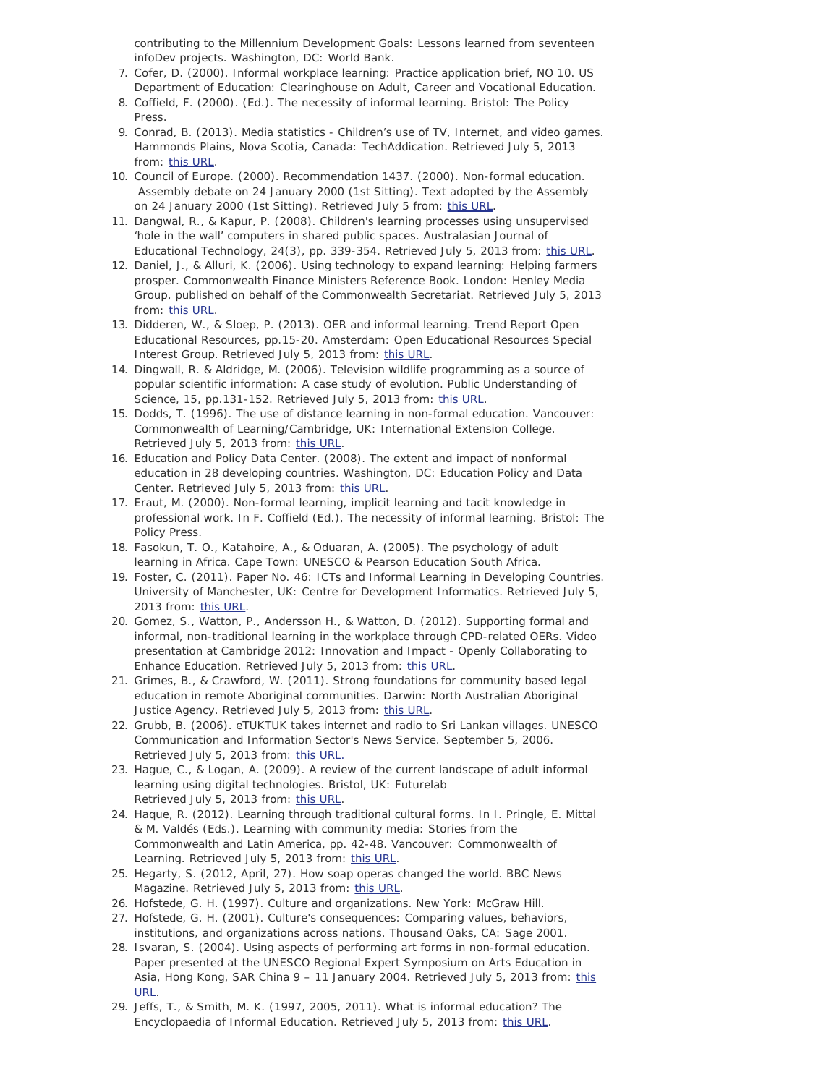*contributing to the Millennium Development Goals: Lessons learned from seventeen infoDev projects*. Washington, DC: World Bank.

- 7. Cofer, D. (2000). *Informal workplace learning*: *Practice application brief, NO 10*. US Department of Education: Clearinghouse on Adult, Career and Vocational Education*.*
- 8. Coffield, F. (2000). (Ed.). *The necessity of informal learning*. Bristol: The Policy Press.
- 9. Conrad, B. (2013*). Media statistics Children's use of TV, Internet, and video games*. Hammonds Plains, Nova Scotia, Canada: TechAddication. Retrieved July 5, 2013 from: [this URL](http://www.techaddiction.ca/media-statistics.html).
- 10. Council of Europe. (2000). *Recommendation 1437. (2000). Non-formal education.* Assembly debate on 24 January 2000 (1st Sitting). Text adopted by the Assembly on 24 January 2000 (1st Sitting). Retrieved July 5 from: [this URL](http://www.assembly.coe.int//main.asp?link=http://www.assembly.coe.int/documents/adoptedtext/ta00/erec1437.htm#1).
- 11. Dangwal, R., & Kapur, P. (2008). Children's learning processes using unsupervised 'hole in the wall' computers in shared public spaces. *Australasian Journal of Educational Technology*, *24*(3), pp. 339-354. Retrieved July 5, 2013 from: [this URL](http://www.ascilite.org.au/ajet/ajet24/dangwal.html).
- 12. Daniel, J., & Alluri, K. (2006). Using technology to expand learning: Helping farmers prosper. *Commonwealth Finance Ministers Reference Book.* London: Henley Media Group, published on behalf of the Commonwealth Secretariat. Retrieved July 5, 2013 from: [this URL](http://www.col.org/SiteCollectionDocuments/L3Farmers_Using_Technology.pdf).
- 13. Didderen, W., & Sloep, P. (2013). OER and informal learning. *Trend Report Open Educational Resources*, pp.15-20. Amsterdam: Open Educational Resources Special Interest Group. Retrieved July 5, 2013 from: [this URL](http://www.surf.nl/en/publicaties/Documents/Trend%20Report%20OER%202013_EN_DEF%2007032013%20(LR).pdf).
- 14. Dingwall, R. & Aldridge, M. (2006). Television wildlife programming as a source of popular scientific information: A case study of evolution. *Public Understanding of Science*, *15*, pp.131-152. Retrieved July 5, 2013 from: [this URL](http://www.ssoar.info/ssoar/bitstream/handle/document/22405/ssoar-2006-2-dingwall_et_al-television_wildlife_programming_as_a.pdf?sequence=1).
- 15. Dodds, T. (1996). *The use of distance learning in non-formal education*. Vancouver: Commonwealth of Learning/Cambridge, UK: International Extension College. Retrieved July 5, 2013 from: [this URL](http://www.col.org/resources/publications/Pages/detail.aspx?PID=344).
- 16. Education and Policy Data Center. (2008). *The extent and impact of nonformal education in 28 developing countries.* Washington, DC: Education Policy and Data Center. Retrieved July 5, 2013 from: [this URL](http://www.epdc.org/sites/default/files/documents/The_Extent_and_Impact_of_Non-formal_Education.pdf).
- 17. Eraut, M. (2000). Non-formal learning, implicit learning and tacit knowledge in professional work. In F. Coffield (Ed.), *The necessity of informal learning*. Bristol: The Policy Press.
- 18. Fasokun, T. O., Katahoire, A., & Oduaran, A. (2005). *The psychology of adult learning in Africa*. Cape Town: UNESCO & Pearson Education South Africa.
- 19. Foster, C. (2011). *Paper No. 46: ICTs and Informal Learning in Developing Countries*. University of Manchester, UK: Centre for Development Informatics. Retrieved July 5, 2013 from: [this URL](http://www.sed.manchester.ac.uk/idpm/research/publications/wp/di/documents/di_wp46.pdf).
- 20. Gomez, S., Watton, P., Andersson H., & Watton, D. (2012). Supporting formal and informal, non-traditional learning in the workplace through CPD-related OERs. Video presentation at *Cambridge 2012: Innovation and Impact - Openly Collaborating to Enhance Education.* Retrieved July 5, 2013 from: [this URL](http://presentations.ocwconsortium.org/uk2012_244_gome_supporting_non-traditiona_learning/).
- 21. Grimes, B., & Crawford, W. (2011). Strong foundations for community based legal education in remote Aboriginal communities. Darwin: North Australian Aboriginal Justice Agency. Retrieved July 5, 2013 from: [this URL](http://www.naclc.org.au/cb_pages/files/Strong%20Foundations%20-%20NAAJA).
- 22. Grubb, B. (2006). *eTUKTUK takes internet and radio to Sri Lankan villages.* UNESCO Communication and Information Sector's News Service. September 5, 2006. Retrieved July 5, 2013 fro[m: this URL.](http://portal.unesco.org/ci/en/ev.php-URL_ID=21987&URL_DO=DO_TOPIC&URL_SECTION=201.html)
- 23. Hague, C., & Logan, A. (2009). *A review of the current landscape of adult informal learning using digital technologies*. Bristol, UK: Futurelab Retrieved July 5, 2013 from: [this URL](http://preview.futurelab.org.uk/resources/documents/project_reports/becta/Adult_Informal_Learning_educators_report.pdf).
- 24. Haque, R. (2012). Learning through traditional cultural forms. In I. Pringle, E. Mittal & M. Valdés (Eds.). *Learning with community media: Stories from the Commonwealth and Latin America*, pp. 42-48. Vancouver: Commonwealth of Learning. Retrieved July 5, 2013 from: [this URL](http://www.col.org/SiteCollectionDocuments/pub_LearningWithCM_web_BW.pdf).
- 25. Hegarty, S. (2012, April, 27). How soap operas changed the world. *BBC News Magazine*. Retrieved July 5, 2013 from: [this URL](http://www.bbc.co.uk/news/magazine-17820571).
- 26. Hofstede, G. H. (1997). *Culture and organizations*. New York: McGraw Hill.
- 27. Hofstede, G. H. (2001). *Culture's consequences: Comparing values, behaviors, institutions, and organizations across nations*. Thousand Oaks, CA: Sage 2001.
- 28. Isvaran, S. (2004). Using aspects of performing art forms in non-formal education. Paper presented at the *UNESCO Regional Expert Symposium on Arts Education in Asia, Hong Kong, SAR China 9 – 11 January 2004*. Retrieved July 5, 2013 from: [this](http://portal.unesco.org/culture/en/files/40517/12668622263using.pdf/using.pdf) [URL](http://portal.unesco.org/culture/en/files/40517/12668622263using.pdf/using.pdf).
- 29. Jeffs, T., & Smith, M. K. (1997, 2005, 2011). What is informal education? *The Encyclopaedia of Informal Education*. Retrieved July 5, 2013 from: [this URL](http://infed.org/mobi/what-is-informal-education).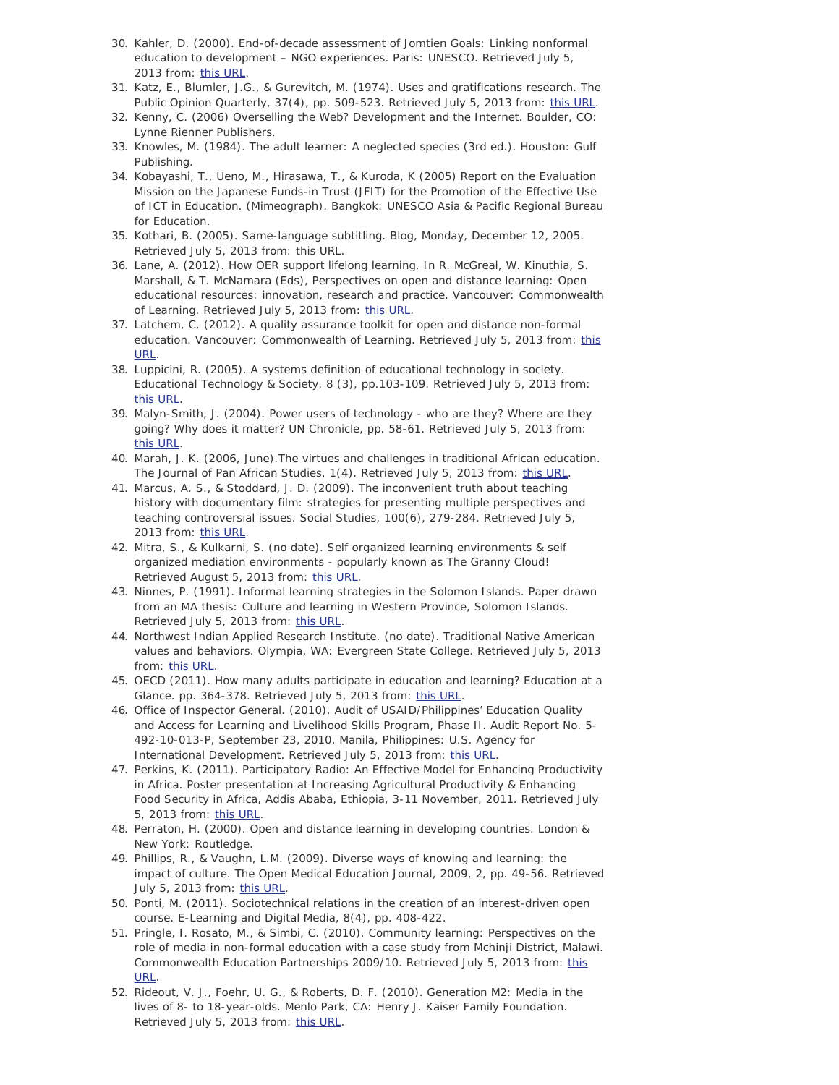- 30. Kahler, D. (2000). *End-of-decade assessment of Jomtien Goals: Linking nonformal education to development – NGO experiences.* Paris: UNESCO. Retrieved July 5, 2013 from: [this URL](http://www.unesco.org/education/partners/cco/English/Educdev.htm).
- 31. Katz, E., Blumler, J.G., & Gurevitch, M. (1974). Uses and gratifications research. *The Public Opinion Quarterly*, *37*(4), pp. 509-523. Retrieved July 5, 2013 from: [this URL](http://www.jstor.org/discover/10.2307/2747854?uid=3737536&uid=2&uid=4&sid=21102381303957).
- 32. Kenny, C. (2006) *Overselling the Web? Development and the Internet*. Boulder, CO: Lynne Rienner Publishers.
- 33. Knowles, M. (1984). *The adult learner: A neglected species* (3rd ed.). Houston: Gulf Publishing.
- 34. Kobayashi, T., Ueno, M., Hirasawa, T., & Kuroda, K (2005) *Report on the Evaluation Mission on the Japanese Funds-in Trust (JFIT) for the Promotion of the Effective Use of ICT in Education*. (Mimeograph). Bangkok: UNESCO Asia & Pacific Regional Bureau for Education.
- 35. Kothari, B. (2005). *Same-language subtitling*. Blog, Monday, December 12, 2005. Retrieved July 5, 2013 from*: this URL.*
- 36. Lane, A. (2012). How OER support lifelong learning. In R. McGreal, W. Kinuthia, S. Marshall, & T. McNamara (Eds), *Perspectives on open and distance learning: Open educational resources: innovation, research and practice*. Vancouver: Commonwealth of Learning. Retrieved July 5, 2013 from: [this URL](http://www.col.org/resources/publications/Pages/detail.aspx?PID=447).
- 37. Latchem, C. (2012). *A quality assurance toolkit for open and distance non-formal education*. Vancouver: Commonwealth of Learning. Retrieved July 5, 2013 from: [this](http://www.col.org/resources/publications/Pages/detail.aspx?PID=403) [URL](http://www.col.org/resources/publications/Pages/detail.aspx?PID=403).
- 38. Luppicini, R. (2005). A systems definition of educational technology in society. *Educational Technology & Society, 8* (3), pp.103-109. Retrieved July 5, 2013 from: [this URL](http://www.ifets.info/journals/8_3/10.pdf).
- 39. Malyn-Smith, J. (2004). Power users of technology who are they? Where are they going? Why does it matter? *UN Chronicle*, pp. 58-61. Retrieved July 5, 2013 from: [this URL](http://www.questia.com/library/1G1-122092532/power-users-of-technology-who-are-they-where-are).
- 40. Marah, J. K. (2006, June).The virtues and challenges in traditional African education. *The Journal of Pan African Studies*, *1*(4). Retrieved July 5, 2013 from: [this URL](http://www.jpanafrican.com/docs/vol1no4/VirtuesAndChallengesTraditionalAfricanEducation_JPASvol1no4.pdf).
- 41. Marcus, A. S., & Stoddard, J. D. (2009). The inconvenient truth about teaching history with documentary film: strategies for presenting multiple perspectives and teaching controversial issues. *Social Studies*, *100*(6), 279-284. Retrieved July 5, 2013 from: [this URL](http://www.tandfonline.com/doi/abs/10.1080/00377990903283957#preview).
- 42. Mitra, S., & Kulkarni, S. (no date). *Self organized learning environments & self organized mediation environments - popularly known as The Granny Cloud!* Retrieved August 5, 2013 from: [this URL](http://solesandsomes.wikispaces.com/Home).
- 43. Ninnes, P. (1991). Informal learning strategies in the Solomon Islands. Paper drawn from an MA thesis: *Culture and learning in Western Province, Solomon Islands*. Retrieved July 5, 2013 from: [this URL](http://wings.buffalo.edu/research/anthrogis/JWA/V1N3/ninnes-art.html).
- 44. Northwest Indian Applied Research Institute. (no date). *Traditional Native American values and behavior*s. Olympia, WA: Evergreen State College. Retrieved July 5, 2013 from: [this URL](http://nwindian.evergreen.edu/curriculum/ValuesBehaviors.pdf).
- 45. OECD (2011). How many adults participate in education and learning? *Education at a Glance.* pp. 364-378. Retrieved July 5, 2013 from: [this URL](http://www.oecd.org/education/skills-beyond-school/48631098.pdf).
- 46. Office of Inspector General. (2010). *Audit of USAID/Philippines' Education Quality and Access for Learning and Livelihood Skills Program, Phase II. Audit Report No. 5- 492-10-013-P, September 23, 2010.* Manila, Philippines: U.S. Agency for International Development. Retrieved July 5, 2013 from: [this URL](http://oig.usaid.gov/sites/default/files/audit-reports/5-492-10-013-p.pdf).
- 47. Perkins, K. (2011). Participatory Radio: An Effective Model for Enhancing Productivity in Africa. Poster presentation at *Increasing Agricultural Productivity & Enhancing Food Security in Africa, Addis Ababa, Ethiopia, 3-11 November, 2011*. Retrieved July 5, 2013 from: [this URL](http://addis2011.ifpri.info/files/2011/10/Poster_2A_Fryehiwot-Farm-Radio.pdf).
- 48. Perraton, H. (2000). *Open and distance learning in developing countries.* London & New York: Routledge.
- 49. Phillips, R., & Vaughn, L.M. (2009). Diverse ways of knowing and learning: the impact of culture. *The Open Medical Education Journal*, 2009, 2, pp. 49-56. Retrieved July 5, 2013 from: [this URL](http://www.benthamscience.com/open/tomededuj/articles/V002/SI0016TOMEDEDUJ/49TOMEDEDUJ.pdf).
- 50. Ponti, M. (2011). Sociotechnical relations in the creation of an interest-driven open course. *E-Learning and Digital Media*, *8*(4), pp. 408-422.
- 51. Pringle, I. Rosato, M., & Simbi, C. (2010). *Community learning: Perspectives on the role of media in non-formal education with a case study from Mchinji District, Malawi.* Commonwealth Education Partnerships 2009/10. Retrieved July 5, 2013 from: [this](http://wikieducator.org/images/4/48/Community_learning_programmes_-_Mchinji_case_study.pdf) [URL](http://wikieducator.org/images/4/48/Community_learning_programmes_-_Mchinji_case_study.pdf).
- 52. Rideout, V. J., Foehr, U. G., & Roberts, D. F. (2010). *Generation M2: Media in the lives of 8- to 18-year-olds.* Menlo Park, CA: Henry J. Kaiser Family Foundation. Retrieved July 5, 2013 from: [this URL](http://www.kff.org/entmedia/upload/8010.pdf).